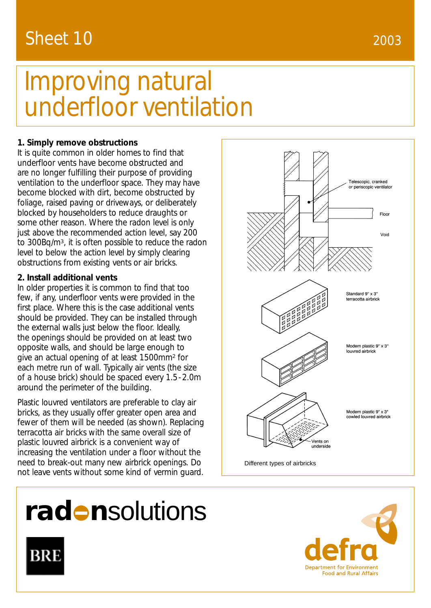### 2003

## Sheet 10

# Improving natural underfloor ventilation

#### **1. Simply remove obstructions**

It is quite common in older homes to find that underfloor vents have become obstructed and are no longer fulfilling their purpose of providing ventilation to the underfloor space. They may have become blocked with dirt, become obstructed by foliage, raised paving or driveways, or deliberately blocked by householders to reduce draughts or some other reason. Where the radon level is only just above the recommended action level, say 200 to 300Bq/m3, it is often possible to reduce the radon level to below the action level by simply clearing obstructions from existing vents or air bricks.

#### **2. Install additional vents**

In older properties it is common to find that too few, if any, underfloor vents were provided in the first place. Where this is the case additional vents should be provided. They can be installed through the external walls just below the floor. Ideally, the openings should be provided on at least two opposite walls, and should be large enough to give an actual opening of at least 1500mm<sup>2</sup> for each metre run of wall. Typically air vents (the size of a house brick) should be spaced every 1.5-2.0m around the perimeter of the building.

Plastic louvred ventilators are preferable to clay air bricks, as they usually offer greater open area and fewer of them will be needed (as shown). Replacing terracotta air bricks with the same overall size of plastic louvred airbrick is a convenient way of increasing the ventilation under a floor without the need to break-out many new airbrick openings. Do not leave vents without some kind of vermin guard.